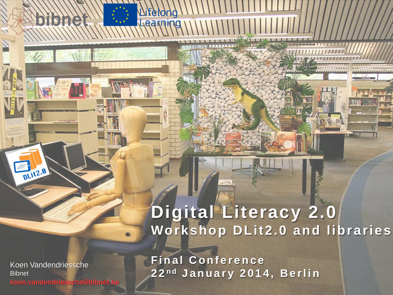## **Digital Literacy 2.0 Workshop DLit2.0 and libraries**

Koen Vandendriessche **Bibnet** koen.vandendriessche@bibnet.be

DLIt2.0

**Final Conference 2 2 n d January 2014, Berlin**

Lifelong

Learn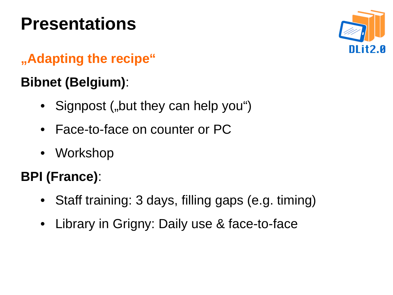# **Presentations**



### **"Adapting the recipe"**

### **Bibnet (Belgium)**:

- Signpost ("but they can help you")
- Face-to-face on counter or PC
- Workshop

## **BPI (France)**:

- Staff training: 3 days, filling gaps (e.g. timing)
- Library in Grigny: Daily use & face-to-face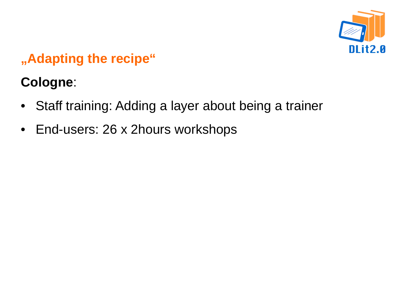

### **"Adapting the recipe"**

## **Cologne**:

- Staff training: Adding a layer about being a trainer
- End-users: 26 x 2hours workshops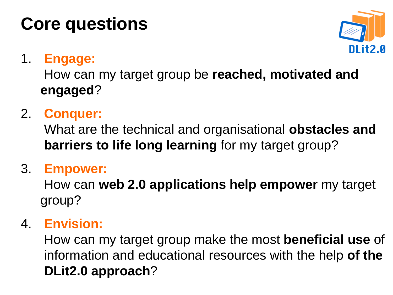# **Core questions**



### 1. **Engage:**

How can my target group be **reached, motivated and engaged**?

### 2. **Conquer:**

What are the technical and organisational **obstacles and barriers to life long learning** for my target group?

#### 3. **Empower:**

How can **web 2.0 applications help empower** my target group?

#### 4. **Envision:**

How can my target group make the most **beneficial use** of information and educational resources with the help **of the DLit2.0 approach**?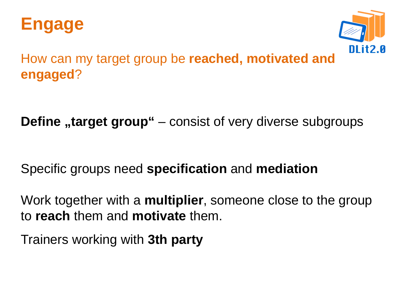



How can my target group be **reached, motivated and engaged**?

**Define** "target group" – consist of very diverse subgroups

Specific groups need **specification** and **mediation**

Work together with a **multiplier**, someone close to the group to **reach** them and **motivate** them.

Trainers working with **3th party**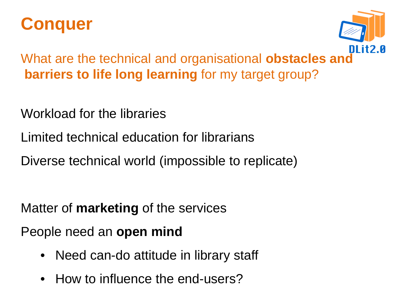



What are the technical and organisational **obstacles and barriers to life long learning** for my target group?

Workload for the libraries

- Limited technical education for librarians
- Diverse technical world (impossible to replicate)

Matter of **marketing** of the services

People need an **open mind**

- Need can-do attitude in library staff
- How to influence the end-users?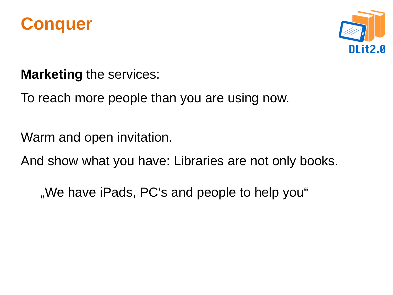



**Marketing** the services:

To reach more people than you are using now.

Warm and open invitation.

And show what you have: Libraries are not only books.

"We have iPads, PC's and people to help you"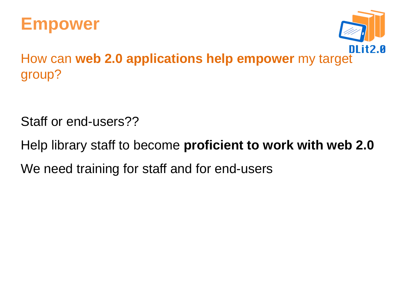



How can **web 2.0 applications help empower** my target group?

Staff or end-users??

Help library staff to become **proficient to work with web 2.0** We need training for staff and for end-users